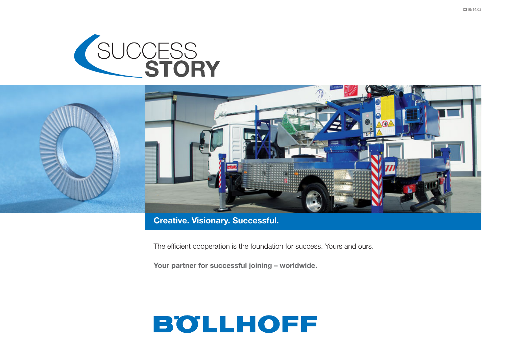



### **Creative. Visionary. Successful.**

The efficient cooperation is the foundation for success. Yours and ours.

**Your partner for successful joining – worldwide.**

## **BOLLHOFF**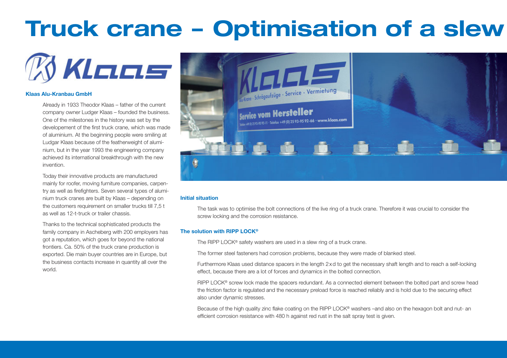# **Truck crane – Optimisation of a slew**



### **Klaas Alu-Kranbau GmbH**

Already in 1933 Theodor Klaas – father of the current company owner Ludger Klaas – founded the business. One of the milestones in the history was set by the developement of the first truck crane, which was made of aluminium. At the beginning people were smiling at Ludgar Klaas because of the featherweight of aluminium, but in the year 1993 the engineering company achieved its international breakthrough with the new invention.

Today their innovative products are manufactured mainly for roofer, moving furniture companies, carpentry as well as firefighters. Seven several types of aluminium truck cranes are built by Klaas – depending on the customers requirement on smaller trucks till 7,5 t as well as 12-t-truck or trailer chassis.

Thanks to the technical sophisticated products the family company in Ascheberg with 200 employers has got a reputation, which goes for beyond the national frontiers. Ca. 50% of the truck crane production is exported. Die main buyer countries are in Europe, but the business contacts increase in quantity all over the world.



### **Initial situation**

The task was to optimise the bolt connections of the live ring of a truck crane. Therefore it was crucial to consider the screw locking and the corrosion resistance.

#### **The solution with RIPP LOCK®**

The RIPP LOCK® safety washers are used in a slew ring of a truck crane.

The former steel fasteners had corrosion problems, because they were made of blanked steel.

Furthermore Klaas used distance spacers in the length 2xd to get the necessary shaft length and to reach a self-locking effect, because there are a lot of forces and dynamics in the bolted connection.

RIPP LOCK® screw lock made the spacers redundant. As a connected element between the bolted part and screw head the friction factor is regulated and the necessary preload force is reached reliably and is hold due to the securing effect also under dynamic stresses.

Because of the high quality zinc flake coating on the RIPP LOCK® washers –and also on the hexagon bolt and nut- an efficient corrosion resistance with 480 h against red rust in the salt spray test is given.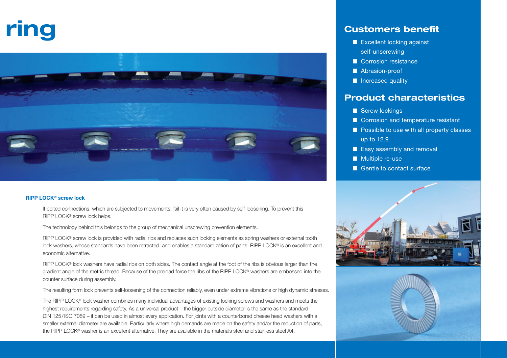# **ring**



### **RIPP LOCK® screw lock**

If bolted connections, which are subjected to movements, fail it is very often caused by self-loosening. To prevent this RIPP LOCK® screw lock helps.

The technology behind this belongs to the group of mechanical unscrewing prevention elements.

RIPP LOCK® screw lock is provided with radial ribs and replaces such locking elements as spring washers or external tooth lock washers, whose standards have been retracted, and enables a standardization of parts. RIPP LOCK® is an excellent and economic alternative.

RIPP LOCK® lock washers have radial ribs on both sides. The contact angle at the foot of the ribs is obvious larger than the gradient angle of the metric thread. Because of the preload force the ribs of the RIPP LOCK® washers are embossed into the counter surface during assembly.

The resulting form lock prevents self-loosening of the connection reliably, even under extreme vibrations or high dynamic stresses.

The RIPP LOCK® lock washer combines many individual advantages of existing locking screws and washers and meets the highest requirements regarding safety. As a universal product – the bigger outside diameter is the same as the standard DIN 125/ISO 7089 – it can be used in almost every application. For joints with a counterbored cheese head washers with a smaller external diameter are available. Particularly where high demands are made on the safety and/or the reduction of parts, the RIPP LOCK® washer is an excellent alternative. They are available in the materials steel and stainless steel A4.

### **Customers benefit**

- Excellent locking against self-unscrewing
- Corrosion resistance
- Abrasion-proof
- Increased quality

### **Product characteristics**

- Screw lockings
- Corrosion and temperature resistant
- Possible to use with all property classes up to 12.9
- Easy assembly and removal
- Multiple re-use
- Gentle to contact surface